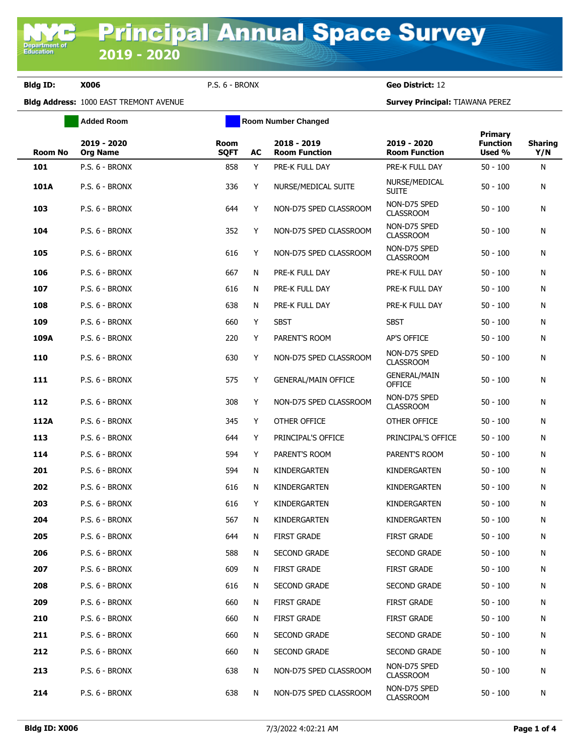**Department of**<br>Education

**Bldg ID: X006** P.S. 6 - BRONX **Geo District:** 12

**Bldg Address:** 1000 EAST TREMONT AVENUE **Survey Principal:** TIAWANA PEREZ

|                | <b>Added Room</b>              |                     |    | <b>Room Number Changed</b>          |                                     |                                      |                       |
|----------------|--------------------------------|---------------------|----|-------------------------------------|-------------------------------------|--------------------------------------|-----------------------|
| <b>Room No</b> | 2019 - 2020<br><b>Org Name</b> | Room<br><b>SQFT</b> | AC | 2018 - 2019<br><b>Room Function</b> | 2019 - 2020<br><b>Room Function</b> | Primary<br><b>Function</b><br>Used % | <b>Sharing</b><br>Y/N |
| 101            | P.S. 6 - BRONX                 | 858                 | Y  | PRE-K FULL DAY                      | PRE-K FULL DAY                      | $50 - 100$                           | N                     |
| 101A           | P.S. 6 - BRONX                 | 336                 | Y  | NURSE/MEDICAL SUITE                 | NURSE/MEDICAL<br><b>SUITE</b>       | $50 - 100$                           | N                     |
| 103            | P.S. 6 - BRONX                 | 644                 | Y  | NON-D75 SPED CLASSROOM              | NON-D75 SPED<br><b>CLASSROOM</b>    | 50 - 100                             | N                     |
| 104            | P.S. 6 - BRONX                 | 352                 | Y  | NON-D75 SPED CLASSROOM              | NON-D75 SPED<br><b>CLASSROOM</b>    | 50 - 100                             | N                     |
| 105            | P.S. 6 - BRONX                 | 616                 | Y  | NON-D75 SPED CLASSROOM              | NON-D75 SPED<br><b>CLASSROOM</b>    | $50 - 100$                           | N                     |
| 106            | P.S. 6 - BRONX                 | 667                 | N  | PRE-K FULL DAY                      | PRE-K FULL DAY                      | 50 - 100                             | N                     |
| 107            | P.S. 6 - BRONX                 | 616                 | N  | PRE-K FULL DAY                      | PRE-K FULL DAY                      | 50 - 100                             | N                     |
| 108            | P.S. 6 - BRONX                 | 638                 | N  | PRE-K FULL DAY                      | PRE-K FULL DAY                      | $50 - 100$                           | N                     |
| 109            | P.S. 6 - BRONX                 | 660                 | Y  | <b>SBST</b>                         | <b>SBST</b>                         | $50 - 100$                           | N                     |
| 109A           | P.S. 6 - BRONX                 | 220                 | Y  | PARENT'S ROOM                       | AP'S OFFICE                         | $50 - 100$                           | N                     |
| 110            | P.S. 6 - BRONX                 | 630                 | Y  | NON-D75 SPED CLASSROOM              | NON-D75 SPED<br><b>CLASSROOM</b>    | $50 - 100$                           | N                     |
| 111            | P.S. 6 - BRONX                 | 575                 | Y  | <b>GENERAL/MAIN OFFICE</b>          | <b>GENERAL/MAIN</b><br>OFFICE       | $50 - 100$                           | N                     |
| 112            | P.S. 6 - BRONX                 | 308                 | Y  | NON-D75 SPED CLASSROOM              | NON-D75 SPED<br><b>CLASSROOM</b>    | 50 - 100                             | N                     |
| 112A           | P.S. 6 - BRONX                 | 345                 | Y  | OTHER OFFICE                        | OTHER OFFICE                        | $50 - 100$                           | N                     |
| 113            | P.S. 6 - BRONX                 | 644                 | Y  | PRINCIPAL'S OFFICE                  | PRINCIPAL'S OFFICE                  | 50 - 100                             | N                     |
| 114            | P.S. 6 - BRONX                 | 594                 | Y  | PARENT'S ROOM                       | PARENT'S ROOM                       | 50 - 100                             | N                     |
| 201            | P.S. 6 - BRONX                 | 594                 | N  | KINDERGARTEN                        | KINDERGARTEN                        | 50 - 100                             | N                     |
| 202            | P.S. 6 - BRONX                 | 616                 | N  | KINDERGARTEN                        | KINDERGARTEN                        | 50 - 100                             | N                     |
| 203            | P.S. 6 - BRONX                 | 616                 | Y  | KINDERGARTEN                        | KINDERGARTEN                        | 50 - 100                             | N                     |
| 204            | P.S. 6 - BRONX                 | 567                 | N  | KINDERGARTEN                        | KINDERGARTEN                        | 50 - 100                             | N                     |
| 205            | P.S. 6 - BRONX                 | 644                 | N  | <b>FIRST GRADE</b>                  | <b>FIRST GRADE</b>                  | 50 - 100                             | N                     |
| 206            | P.S. 6 - BRONX                 | 588                 | N  | <b>SECOND GRADE</b>                 | <b>SECOND GRADE</b>                 | $50 - 100$                           | N                     |
| 207            | P.S. 6 - BRONX                 | 609                 | N  | <b>FIRST GRADE</b>                  | <b>FIRST GRADE</b>                  | $50 - 100$                           | N                     |
| 208            | P.S. 6 - BRONX                 | 616                 | N  | SECOND GRADE                        | SECOND GRADE                        | $50 - 100$                           | N                     |
| 209            | P.S. 6 - BRONX                 | 660                 | N  | <b>FIRST GRADE</b>                  | <b>FIRST GRADE</b>                  | $50 - 100$                           | N                     |
| 210            | P.S. 6 - BRONX                 | 660                 | N  | <b>FIRST GRADE</b>                  | <b>FIRST GRADE</b>                  | $50 - 100$                           | N                     |
| 211            | P.S. 6 - BRONX                 | 660                 | N  | <b>SECOND GRADE</b>                 | <b>SECOND GRADE</b>                 | $50 - 100$                           | N                     |
| 212            | P.S. 6 - BRONX                 | 660                 | N  | <b>SECOND GRADE</b>                 | <b>SECOND GRADE</b>                 | $50 - 100$                           | N                     |
| 213            | P.S. 6 - BRONX                 | 638                 | N  | NON-D75 SPED CLASSROOM              | NON-D75 SPED<br><b>CLASSROOM</b>    | 50 - 100                             | N                     |
| 214            | P.S. 6 - BRONX                 | 638                 | N  | NON-D75 SPED CLASSROOM              | NON-D75 SPED<br><b>CLASSROOM</b>    | $50 - 100$                           | N                     |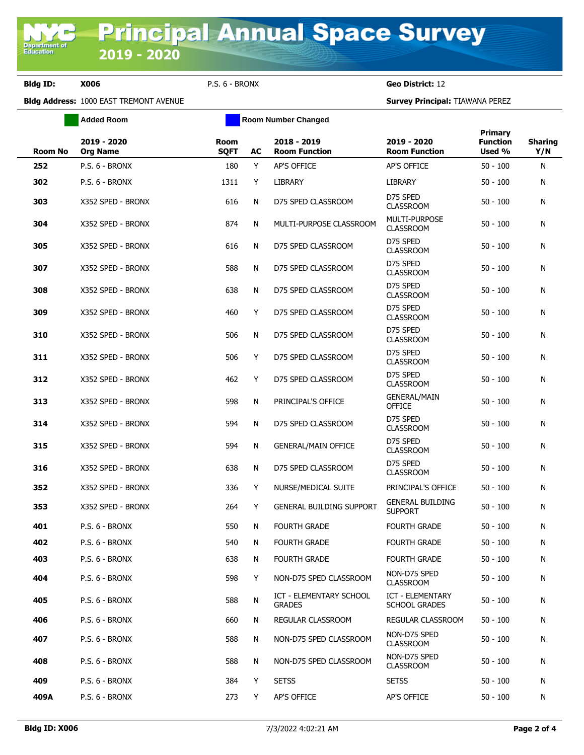**Bldg ID: X006** P.S. 6 - BRONX **Geo District:** 12

**Bldg Address:** 1000 EAST TREMONT AVENUE **Survey Principal:** TIAWANA PEREZ

|                | <b>Added Room</b>              | <b>Room Number Changed</b> |    |                                          |                                           |                                      |                       |
|----------------|--------------------------------|----------------------------|----|------------------------------------------|-------------------------------------------|--------------------------------------|-----------------------|
| <b>Room No</b> | 2019 - 2020<br><b>Org Name</b> | Room<br><b>SQFT</b>        | AC | 2018 - 2019<br><b>Room Function</b>      | 2019 - 2020<br><b>Room Function</b>       | Primary<br><b>Function</b><br>Used % | <b>Sharing</b><br>Y/N |
| 252            | P.S. 6 - BRONX                 | 180                        | Y  | <b>AP'S OFFICE</b>                       | <b>AP'S OFFICE</b>                        | $50 - 100$                           | N                     |
| 302            | P.S. 6 - BRONX                 | 1311                       | Y  | <b>LIBRARY</b>                           | LIBRARY                                   | $50 - 100$                           | N                     |
| 303            | X352 SPED - BRONX              | 616                        | N  | D75 SPED CLASSROOM                       | D75 SPED<br><b>CLASSROOM</b>              | $50 - 100$                           | N                     |
| 304            | X352 SPED - BRONX              | 874                        | N  | MULTI-PURPOSE CLASSROOM                  | MULTI-PURPOSE<br><b>CLASSROOM</b>         | $50 - 100$                           | N                     |
| 305            | X352 SPED - BRONX              | 616                        | N  | D75 SPED CLASSROOM                       | D75 SPED<br><b>CLASSROOM</b>              | $50 - 100$                           | N                     |
| 307            | X352 SPED - BRONX              | 588                        | N  | D75 SPED CLASSROOM                       | D75 SPED<br><b>CLASSROOM</b>              | $50 - 100$                           | N                     |
| 308            | X352 SPED - BRONX              | 638                        | N  | D75 SPED CLASSROOM                       | D75 SPED<br><b>CLASSROOM</b>              | $50 - 100$                           | N                     |
| 309            | X352 SPED - BRONX              | 460                        | Y  | D75 SPED CLASSROOM                       | D75 SPED<br><b>CLASSROOM</b>              | $50 - 100$                           | N                     |
| 310            | X352 SPED - BRONX              | 506                        | N  | D75 SPED CLASSROOM                       | D75 SPED<br><b>CLASSROOM</b>              | $50 - 100$                           | N                     |
| 311            | X352 SPED - BRONX              | 506                        | Y  | D75 SPED CLASSROOM                       | D75 SPED<br><b>CLASSROOM</b>              | $50 - 100$                           | N                     |
| 312            | X352 SPED - BRONX              | 462                        | Y  | D75 SPED CLASSROOM                       | D75 SPED<br><b>CLASSROOM</b>              | $50 - 100$                           | N                     |
| 313            | X352 SPED - BRONX              | 598                        | N  | PRINCIPAL'S OFFICE                       | <b>GENERAL/MAIN</b><br><b>OFFICE</b>      | $50 - 100$                           | N                     |
| 314            | X352 SPED - BRONX              | 594                        | N  | D75 SPED CLASSROOM                       | D75 SPED<br><b>CLASSROOM</b>              | $50 - 100$                           | N                     |
| 315            | X352 SPED - BRONX              | 594                        | N  | <b>GENERAL/MAIN OFFICE</b>               | D75 SPED<br><b>CLASSROOM</b>              | $50 - 100$                           | N                     |
| 316            | X352 SPED - BRONX              | 638                        | N  | D75 SPED CLASSROOM                       | D75 SPED<br><b>CLASSROOM</b>              | $50 - 100$                           | N                     |
| 352            | X352 SPED - BRONX              | 336                        | Y  | NURSE/MEDICAL SUITE                      | PRINCIPAL'S OFFICE                        | $50 - 100$                           | N                     |
| 353            | X352 SPED - BRONX              | 264                        | Y  | <b>GENERAL BUILDING SUPPORT</b>          | <b>GENERAL BUILDING</b><br><b>SUPPORT</b> | $50 - 100$                           | N                     |
| 401            | P.S. 6 - BRONX                 | 550                        | N  | <b>FOURTH GRADE</b>                      | <b>FOURTH GRADE</b>                       | $50 - 100$                           | N                     |
| 402            | P.S. 6 - BRONX                 | 540                        | N  | FOURTH GRADE                             | FOURTH GRADE                              | $50 - 100$                           | N                     |
| 403            | P.S. 6 - BRONX                 | 638                        | N  | <b>FOURTH GRADE</b>                      | <b>FOURTH GRADE</b>                       | $50 - 100$                           | N                     |
| 404            | P.S. 6 - BRONX                 | 598                        | Y  | NON-D75 SPED CLASSROOM                   | NON-D75 SPED<br><b>CLASSROOM</b>          | $50 - 100$                           | N                     |
| 405            | P.S. 6 - BRONX                 | 588                        | N  | ICT - ELEMENTARY SCHOOL<br><b>GRADES</b> | ICT - ELEMENTARY<br><b>SCHOOL GRADES</b>  | $50 - 100$                           | N                     |
| 406            | P.S. 6 - BRONX                 | 660                        | N  | REGULAR CLASSROOM                        | REGULAR CLASSROOM                         | $50 - 100$                           | N                     |
| 407            | P.S. 6 - BRONX                 | 588                        | N  | NON-D75 SPED CLASSROOM                   | NON-D75 SPED<br><b>CLASSROOM</b>          | $50 - 100$                           | N                     |
| 408            | P.S. 6 - BRONX                 | 588                        | N  | NON-D75 SPED CLASSROOM                   | NON-D75 SPED<br><b>CLASSROOM</b>          | $50 - 100$                           | N                     |
| 409            | P.S. 6 - BRONX                 | 384                        | Y  | <b>SETSS</b>                             | <b>SETSS</b>                              | $50 - 100$                           | N                     |
| 409A           | P.S. 6 - BRONX                 | 273                        | Y  | AP'S OFFICE                              | AP'S OFFICE                               | $50 - 100$                           | N                     |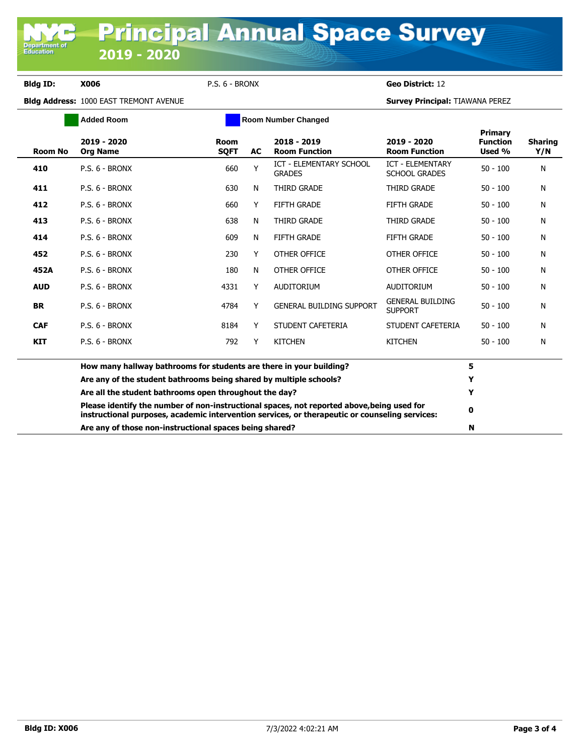Ċ.

Department<br>Education

Ē.

**Bldg ID: X006** P.S. 6 - BRONX **Geo District:** 12

**Bldg Address:** 1000 EAST TREMONT AVENUE **Survey Principal:** TIAWANA PEREZ

|            | <b>Added Room</b>                                                                                                                                                                            |                     | <b>Room Number Changed</b> |                                          |                                                 |                                      |                       |
|------------|----------------------------------------------------------------------------------------------------------------------------------------------------------------------------------------------|---------------------|----------------------------|------------------------------------------|-------------------------------------------------|--------------------------------------|-----------------------|
| Room No    | 2019 - 2020<br><b>Org Name</b>                                                                                                                                                               | Room<br><b>SOFT</b> | AC.                        | 2018 - 2019<br><b>Room Function</b>      | 2019 - 2020<br><b>Room Function</b>             | Primary<br><b>Function</b><br>Used % | <b>Sharing</b><br>Y/N |
| 410        | P.S. 6 - BRONX                                                                                                                                                                               | 660                 | Y                          | ICT - ELEMENTARY SCHOOL<br><b>GRADES</b> | <b>ICT - ELEMENTARY</b><br><b>SCHOOL GRADES</b> | $50 - 100$                           | N                     |
| 411        | P.S. 6 - BRONX                                                                                                                                                                               | 630                 | N                          | THIRD GRADE                              | THIRD GRADE                                     | $50 - 100$                           | N                     |
| 412        | P.S. 6 - BRONX                                                                                                                                                                               | 660                 | Y                          | <b>FIFTH GRADE</b>                       | <b>FIFTH GRADE</b>                              | $50 - 100$                           | N                     |
| 413        | P.S. 6 - BRONX                                                                                                                                                                               | 638                 | N                          | THIRD GRADE                              | THIRD GRADE                                     | $50 - 100$                           | N                     |
| 414        | P.S. 6 - BRONX                                                                                                                                                                               | 609                 | N                          | <b>FIFTH GRADE</b>                       | <b>FIFTH GRADE</b>                              | $50 - 100$                           | N                     |
| 452        | P.S. 6 - BRONX                                                                                                                                                                               | 230                 | Y                          | OTHER OFFICE                             | OTHER OFFICE                                    | $50 - 100$                           | N                     |
| 452A       | P.S. 6 - BRONX                                                                                                                                                                               | 180                 | N                          | OTHER OFFICE                             | <b>OTHER OFFICE</b>                             | $50 - 100$                           | N                     |
| <b>AUD</b> | P.S. 6 - BRONX                                                                                                                                                                               | 4331                | Y                          | <b>AUDITORIUM</b>                        | <b>AUDITORIUM</b>                               | $50 - 100$                           | N                     |
| <b>BR</b>  | P.S. 6 - BRONX                                                                                                                                                                               | 4784                | Y                          | <b>GENERAL BUILDING SUPPORT</b>          | <b>GENERAL BUILDING</b><br><b>SUPPORT</b>       | $50 - 100$                           | N                     |
| <b>CAF</b> | P.S. 6 - BRONX                                                                                                                                                                               | 8184                | Y                          | STUDENT CAFETERIA                        | STUDENT CAFETERIA                               | $50 - 100$                           | N                     |
| <b>KIT</b> | P.S. 6 - BRONX                                                                                                                                                                               | 792                 | Y                          | <b>KITCHEN</b>                           | <b>KITCHEN</b>                                  | $50 - 100$                           | N                     |
|            | How many hallway bathrooms for students are there in your building?                                                                                                                          |                     |                            |                                          |                                                 | 5                                    |                       |
|            | Are any of the student bathrooms being shared by multiple schools?<br>Y                                                                                                                      |                     |                            |                                          |                                                 |                                      |                       |
|            | Are all the student bathrooms open throughout the day?                                                                                                                                       |                     |                            |                                          |                                                 | Y                                    |                       |
|            | Please identify the number of non-instructional spaces, not reported above, being used for<br>instructional purposes, academic intervention services, or therapeutic or counseling services: |                     |                            |                                          |                                                 |                                      |                       |
|            | Are any of those non-instructional spaces being shared?                                                                                                                                      |                     | N                          |                                          |                                                 |                                      |                       |